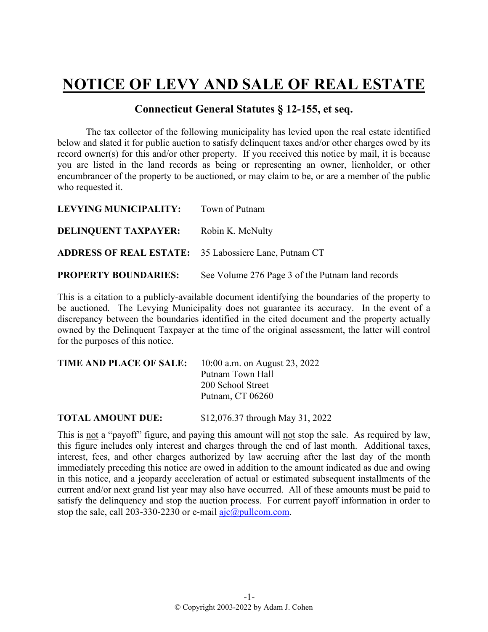## **NOTICE OF LEVY AND SALE OF REAL ESTATE**

## **Connecticut General Statutes § 12-155, et seq.**

The tax collector of the following municipality has levied upon the real estate identified below and slated it for public auction to satisfy delinquent taxes and/or other charges owed by its record owner(s) for this and/or other property. If you received this notice by mail, it is because you are listed in the land records as being or representing an owner, lienholder, or other encumbrancer of the property to be auctioned, or may claim to be, or are a member of the public who requested it.

| <b>LEVYING MUNICIPALITY:</b>                          | Town of Putnam                                   |
|-------------------------------------------------------|--------------------------------------------------|
| <b>DELINQUENT TAXPAYER:</b> Robin K. McNulty          |                                                  |
| ADDRESS OF REAL ESTATE: 35 Labossiere Lane, Putnam CT |                                                  |
| <b>PROPERTY BOUNDARIES:</b>                           | See Volume 276 Page 3 of the Putnam land records |

This is a citation to a publicly-available document identifying the boundaries of the property to be auctioned. The Levying Municipality does not guarantee its accuracy. In the event of a discrepancy between the boundaries identified in the cited document and the property actually owned by the Delinquent Taxpayer at the time of the original assessment, the latter will control for the purposes of this notice.

| <b>TIME AND PLACE OF SALE:</b> | 10:00 a.m. on August 23, 2022 |
|--------------------------------|-------------------------------|
|                                | Putnam Town Hall              |
|                                | 200 School Street             |
|                                | Putnam, CT 06260              |
|                                |                               |

**TOTAL AMOUNT DUE:** \$12,076.37 through May 31, 2022

This is not a "payoff" figure, and paying this amount will not stop the sale. As required by law, this figure includes only interest and charges through the end of last month. Additional taxes, interest, fees, and other charges authorized by law accruing after the last day of the month immediately preceding this notice are owed in addition to the amount indicated as due and owing in this notice, and a jeopardy acceleration of actual or estimated subsequent installments of the current and/or next grand list year may also have occurred. All of these amounts must be paid to satisfy the delinquency and stop the auction process. For current payoff information in order to stop the sale, call 203-330-2230 or e-mail  $a$ jc $@p$ ullcom.com.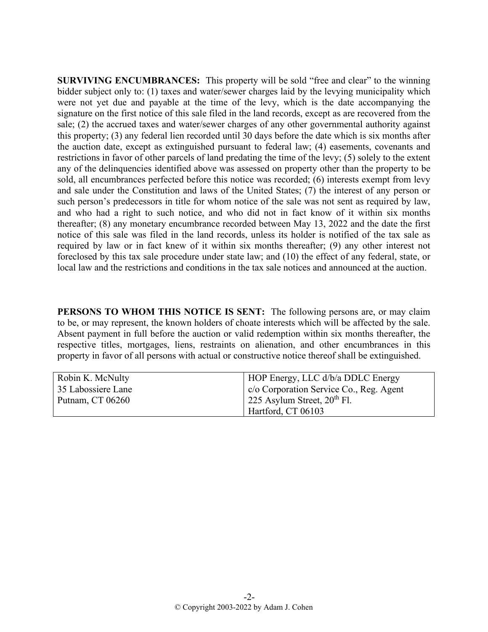**SURVIVING ENCUMBRANCES:** This property will be sold "free and clear" to the winning bidder subject only to: (1) taxes and water/sewer charges laid by the levying municipality which were not yet due and payable at the time of the levy, which is the date accompanying the signature on the first notice of this sale filed in the land records, except as are recovered from the sale; (2) the accrued taxes and water/sewer charges of any other governmental authority against this property; (3) any federal lien recorded until 30 days before the date which is six months after the auction date, except as extinguished pursuant to federal law; (4) easements, covenants and restrictions in favor of other parcels of land predating the time of the levy; (5) solely to the extent any of the delinquencies identified above was assessed on property other than the property to be sold, all encumbrances perfected before this notice was recorded; (6) interests exempt from levy and sale under the Constitution and laws of the United States; (7) the interest of any person or such person's predecessors in title for whom notice of the sale was not sent as required by law, and who had a right to such notice, and who did not in fact know of it within six months thereafter; (8) any monetary encumbrance recorded between May 13, 2022 and the date the first notice of this sale was filed in the land records, unless its holder is notified of the tax sale as required by law or in fact knew of it within six months thereafter; (9) any other interest not foreclosed by this tax sale procedure under state law; and (10) the effect of any federal, state, or local law and the restrictions and conditions in the tax sale notices and announced at the auction.

**PERSONS TO WHOM THIS NOTICE IS SENT:** The following persons are, or may claim to be, or may represent, the known holders of choate interests which will be affected by the sale. Absent payment in full before the auction or valid redemption within six months thereafter, the respective titles, mortgages, liens, restraints on alienation, and other encumbrances in this property in favor of all persons with actual or constructive notice thereof shall be extinguished.

| Robin K. McNulty   | HOP Energy, LLC d/b/a DDLC Energy                         |
|--------------------|-----------------------------------------------------------|
| 35 Labossiere Lane | $  \cdot \rangle$ c/o Corporation Service Co., Reg. Agent |
| Putnam, CT 06260   | 1 225 Asylum Street, $20^{th}$ Fl.                        |
|                    | Hartford, CT 06103                                        |